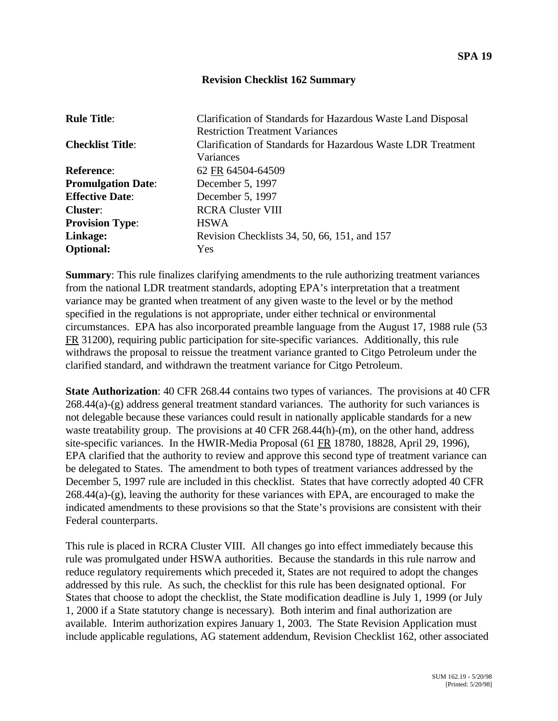## **Revision Checklist 162 Summary**

| <b>Rule Title:</b>        | Clarification of Standards for Hazardous Waste Land Disposal<br><b>Restriction Treatment Variances</b> |
|---------------------------|--------------------------------------------------------------------------------------------------------|
| <b>Checklist Title:</b>   | Clarification of Standards for Hazardous Waste LDR Treatment<br>Variances                              |
| <b>Reference:</b>         | 62 FR 64504-64509                                                                                      |
| <b>Promulgation Date:</b> | December 5, 1997                                                                                       |
| <b>Effective Date:</b>    | December 5, 1997                                                                                       |
| <b>Cluster:</b>           | <b>RCRA Cluster VIII</b>                                                                               |
| <b>Provision Type:</b>    | <b>HSWA</b>                                                                                            |
| Linkage:                  | Revision Checklists 34, 50, 66, 151, and 157                                                           |
| <b>Optional:</b>          | Yes                                                                                                    |

**Summary:** This rule finalizes clarifying amendments to the rule authorizing treatment variances from the national LDR treatment standards, adopting EPA's interpretation that a treatment variance may be granted when treatment of any given waste to the level or by the method specified in the regulations is not appropriate, under either technical or environmental circumstances. EPA has also incorporated preamble language from the August 17, 1988 rule (53 FR 31200), requiring public participation for site-specific variances. Additionally, this rule withdraws the proposal to reissue the treatment variance granted to Citgo Petroleum under the clarified standard, and withdrawn the treatment variance for Citgo Petroleum.

**State Authorization**: 40 CFR 268.44 contains two types of variances. The provisions at 40 CFR 268.44(a)-(g) address general treatment standard variances. The authority for such variances is not delegable because these variances could result in nationally applicable standards for a new waste treatability group. The provisions at 40 CFR 268.44(h)-(m), on the other hand, address site-specific variances. In the HWIR-Media Proposal (61 FR 18780, 18828, April 29, 1996), EPA clarified that the authority to review and approve this second type of treatment variance can be delegated to States. The amendment to both types of treatment variances addressed by the December 5, 1997 rule are included in this checklist. States that have correctly adopted 40 CFR  $268.44(a)-(g)$ , leaving the authority for these variances with EPA, are encouraged to make the indicated amendments to these provisions so that the State's provisions are consistent with their Federal counterparts.

This rule is placed in RCRA Cluster VIII. All changes go into effect immediately because this rule was promulgated under HSWA authorities. Because the standards in this rule narrow and reduce regulatory requirements which preceded it, States are not required to adopt the changes addressed by this rule. As such, the checklist for this rule has been designated optional. For States that choose to adopt the checklist, the State modification deadline is July 1, 1999 (or July 1, 2000 if a State statutory change is necessary). Both interim and final authorization are available. Interim authorization expires January 1, 2003. The State Revision Application must include applicable regulations, AG statement addendum, Revision Checklist 162, other associated